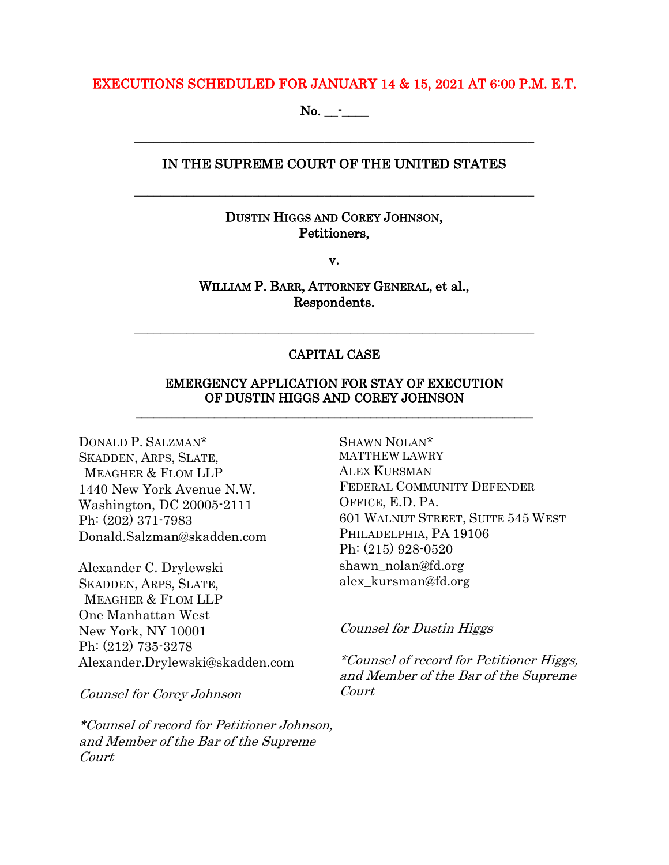#### EXECUTIONS SCHEDULED FOR JANUARY 14 & 15, 2021 AT 6:00 P.M. E.T.

No. \_\_-\_\_\_\_

## IN THE SUPREME COURT OF THE UNITED STATES

\_\_\_\_\_\_\_\_\_\_\_\_\_\_\_\_\_\_\_\_\_\_\_\_\_\_\_\_\_\_\_\_\_\_\_\_\_\_\_\_\_\_\_\_\_\_\_\_\_\_\_\_\_\_\_\_\_\_\_\_\_

\_\_\_\_\_\_\_\_\_\_\_\_\_\_\_\_\_\_\_\_\_\_\_\_\_\_\_\_\_\_\_\_\_\_\_\_\_\_\_\_\_\_\_\_\_\_\_\_\_\_\_\_\_\_\_\_\_\_\_\_\_

## DUSTIN HIGGS AND COREY JOHNSON, Petitioners,

v.

## WILLIAM P. BARR, ATTORNEY GENERAL, et al., Respondents.

## CAPITAL CASE

\_\_\_\_\_\_\_\_\_\_\_\_\_\_\_\_\_\_\_\_\_\_\_\_\_\_\_\_\_\_\_\_\_\_\_\_\_\_\_\_\_\_\_\_\_\_\_\_\_\_\_\_\_\_\_\_\_\_\_\_\_

#### EMERGENCY APPLICATION FOR STAY OF EXECUTION OF DUSTIN HIGGS AND COREY JOHNSON \_\_\_\_\_\_\_\_\_\_\_\_\_\_\_\_\_\_\_\_\_\_\_\_\_\_\_\_\_\_\_\_\_\_\_\_\_\_\_\_\_\_\_\_\_\_\_\_\_\_\_\_\_\_\_\_\_\_\_\_\_\_\_\_\_\_

DONALD P. SALZMAN\* SKADDEN, ARPS, SLATE, MEAGHER & FLOM LLP 1440 New York Avenue N.W. Washington, DC 20005-2111 Ph: (202) 371-7983 Donald.Salzman@skadden.com

Alexander C. Drylewski SKADDEN, ARPS, SLATE, MEAGHER & FLOM LLP One Manhattan West New York, NY 10001 Ph: (212) 735-3278 Alexander.Drylewski@skadden.com

Counsel for Corey Johnson

\*Counsel of record for Petitioner Johnson, and Member of the Bar of the Supreme Court

SHAWN NOLAN\* MATTHEW LAWRY ALEX KURSMAN FEDERAL COMMUNITY DEFENDER OFFICE, E.D. PA. 601 WALNUT STREET, SUITE 545 WEST PHILADELPHIA, PA 19106 Ph: (215) 928-0520 shawn\_nolan@fd.org alex\_kursman@fd.org

#### Counsel for Dustin Higgs

\*Counsel of record for Petitioner Higgs, and Member of the Bar of the Supreme Court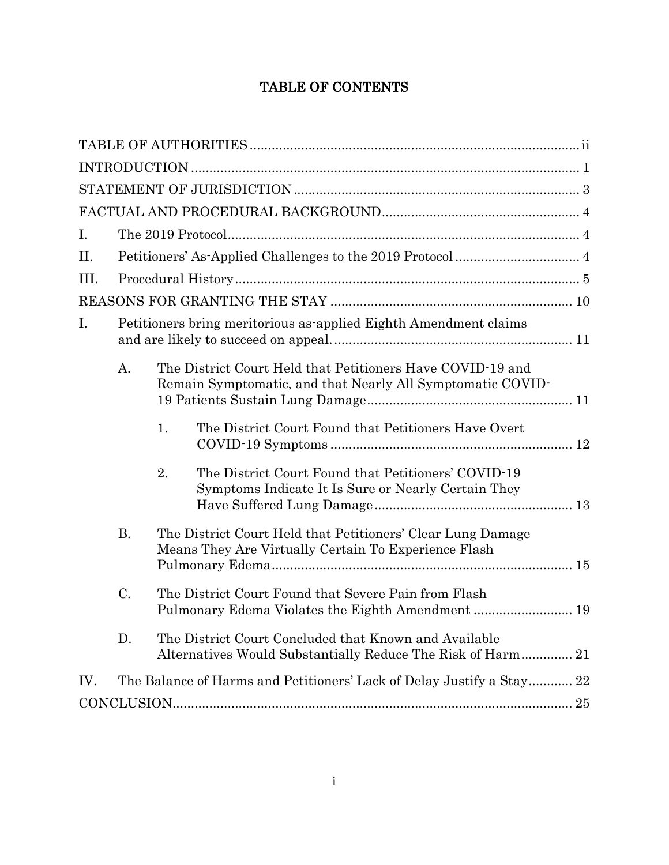# TABLE OF CONTENTS

| I.   |                                                                  |                                                                                                                          |                                                                                                            |  |  |  |  |
|------|------------------------------------------------------------------|--------------------------------------------------------------------------------------------------------------------------|------------------------------------------------------------------------------------------------------------|--|--|--|--|
| II.  |                                                                  |                                                                                                                          |                                                                                                            |  |  |  |  |
| III. |                                                                  |                                                                                                                          |                                                                                                            |  |  |  |  |
|      |                                                                  |                                                                                                                          |                                                                                                            |  |  |  |  |
| I.   | Petitioners bring meritorious as applied Eighth Amendment claims |                                                                                                                          |                                                                                                            |  |  |  |  |
|      | $\mathbf{A}$ .                                                   | The District Court Held that Petitioners Have COVID-19 and<br>Remain Symptomatic, and that Nearly All Symptomatic COVID- |                                                                                                            |  |  |  |  |
|      |                                                                  | 1.                                                                                                                       | The District Court Found that Petitioners Have Overt                                                       |  |  |  |  |
|      |                                                                  | 2.                                                                                                                       | The District Court Found that Petitioners' COVID-19<br>Symptoms Indicate It Is Sure or Nearly Certain They |  |  |  |  |
|      | <b>B.</b>                                                        | The District Court Held that Petitioners' Clear Lung Damage<br>Means They Are Virtually Certain To Experience Flash      |                                                                                                            |  |  |  |  |
|      | C.                                                               | The District Court Found that Severe Pain from Flash<br>Pulmonary Edema Violates the Eighth Amendment  19                |                                                                                                            |  |  |  |  |
|      | D.                                                               | The District Court Concluded that Known and Available<br>Alternatives Would Substantially Reduce The Risk of Harm 21     |                                                                                                            |  |  |  |  |
| IV.  |                                                                  |                                                                                                                          | The Balance of Harms and Petitioners' Lack of Delay Justify a Stay 22                                      |  |  |  |  |
|      |                                                                  |                                                                                                                          |                                                                                                            |  |  |  |  |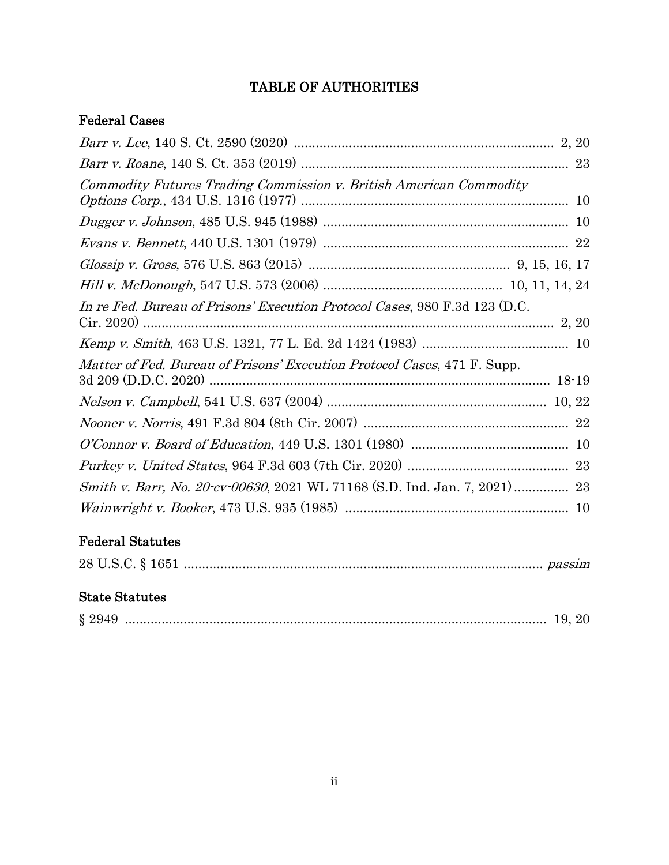# TABLE OF AUTHORITIES

## <span id="page-2-0"></span>Federal Cases

# Federal Statutes

|--|--|

# State Statutes

|--|--|--|--|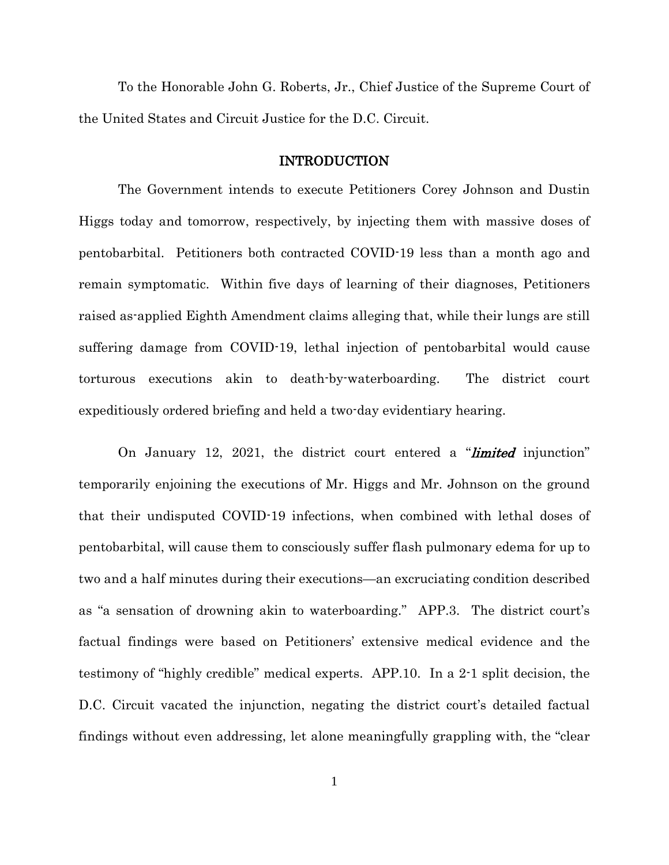To the Honorable John G. Roberts, Jr., Chief Justice of the Supreme Court of the United States and Circuit Justice for the D.C. Circuit.

#### INTRODUCTION

<span id="page-3-0"></span>The Government intends to execute Petitioners Corey Johnson and Dustin Higgs today and tomorrow, respectively, by injecting them with massive doses of pentobarbital. Petitioners both contracted COVID-19 less than a month ago and remain symptomatic. Within five days of learning of their diagnoses, Petitioners raised as-applied Eighth Amendment claims alleging that, while their lungs are still suffering damage from COVID-19, lethal injection of pentobarbital would cause torturous executions akin to death-by-waterboarding. The district court expeditiously ordered briefing and held a two-day evidentiary hearing.

On January 12, 2021, the district court entered a "*limited* injunction" temporarily enjoining the executions of Mr. Higgs and Mr. Johnson on the ground that their undisputed COVID-19 infections, when combined with lethal doses of pentobarbital, will cause them to consciously suffer flash pulmonary edema for up to two and a half minutes during their executions—an excruciating condition described as "a sensation of drowning akin to waterboarding." APP.3. The district court's factual findings were based on Petitioners' extensive medical evidence and the testimony of "highly credible" medical experts. APP.10. In a 2-1 split decision, the D.C. Circuit vacated the injunction, negating the district court's detailed factual findings without even addressing, let alone meaningfully grappling with, the "clear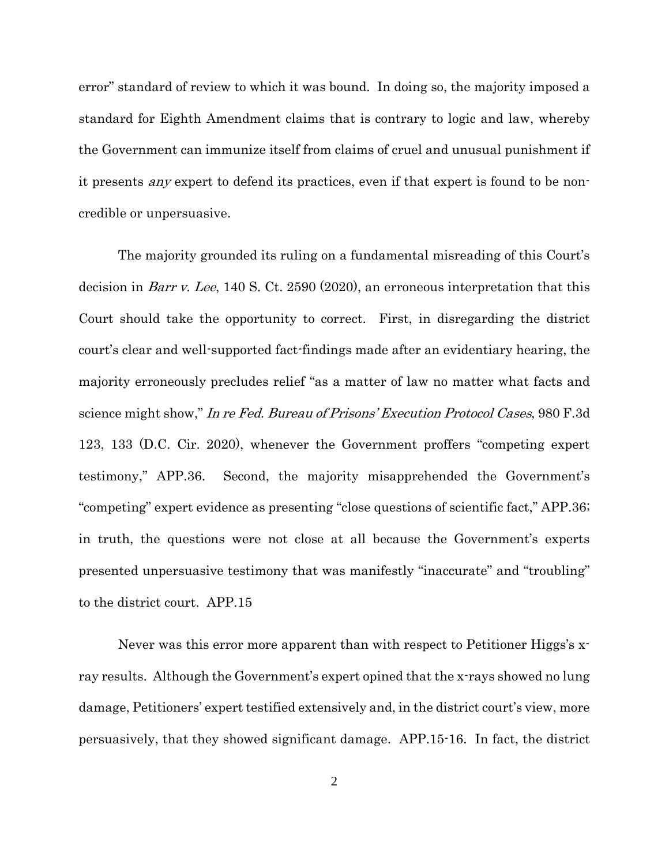error" standard of review to which it was bound. In doing so, the majority imposed a standard for Eighth Amendment claims that is contrary to logic and law, whereby the Government can immunize itself from claims of cruel and unusual punishment if it presents any expert to defend its practices, even if that expert is found to be noncredible or unpersuasive.

<span id="page-4-1"></span><span id="page-4-0"></span>The majority grounded its ruling on a fundamental misreading of this Court's decision in Barr v. Lee, 140 S. Ct. 2590 (2020), an erroneous interpretation that this Court should take the opportunity to correct. First, in disregarding the district court's clear and well-supported fact-findings made after an evidentiary hearing, the majority erroneously precludes relief "as a matter of law no matter what facts and science might show," In re Fed. Bureau of Prisons' Execution Protocol Cases, 980 F.3d 123, 133 (D.C. Cir. 2020), whenever the Government proffers "competing expert testimony," APP.36. Second, the majority misapprehended the Government's "competing" expert evidence as presenting "close questions of scientific fact," APP.36; in truth, the questions were not close at all because the Government's experts presented unpersuasive testimony that was manifestly "inaccurate" and "troubling" to the district court. APP.15

Never was this error more apparent than with respect to Petitioner Higgs's xray results. Although the Government's expert opined that the x-rays showed no lung damage, Petitioners' expert testified extensively and, in the district court's view, more persuasively, that they showed significant damage. APP.15-16. In fact, the district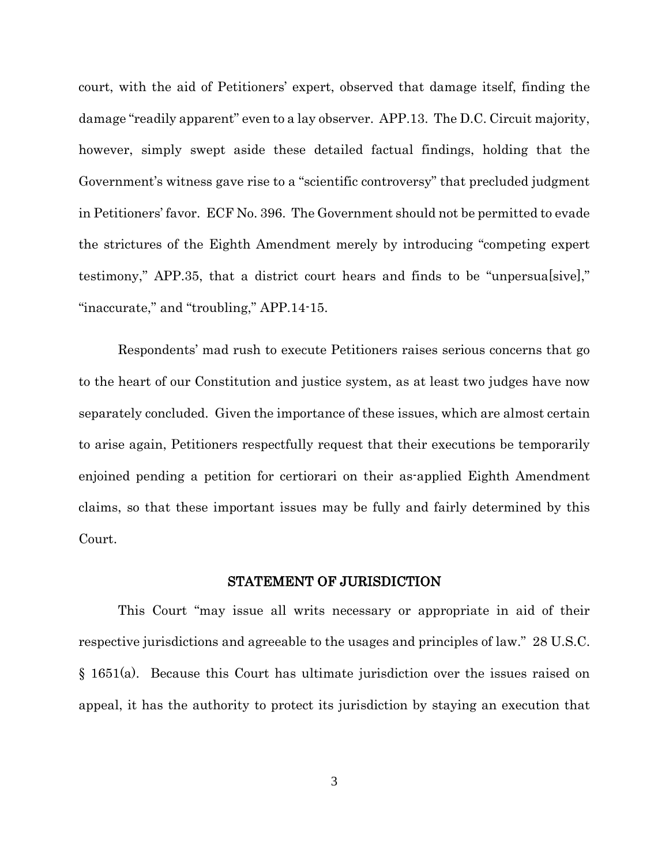court, with the aid of Petitioners' expert, observed that damage itself, finding the damage "readily apparent" even to a lay observer. APP.13. The D.C. Circuit majority, however, simply swept aside these detailed factual findings, holding that the Government's witness gave rise to a "scientific controversy" that precluded judgment in Petitioners' favor. ECF No. 396. The Government should not be permitted to evade the strictures of the Eighth Amendment merely by introducing "competing expert testimony," APP.35, that a district court hears and finds to be "unpersua[sive]," "inaccurate," and "troubling," APP.14-15.

Respondents' mad rush to execute Petitioners raises serious concerns that go to the heart of our Constitution and justice system, as at least two judges have now separately concluded. Given the importance of these issues, which are almost certain to arise again, Petitioners respectfully request that their executions be temporarily enjoined pending a petition for certiorari on their as-applied Eighth Amendment claims, so that these important issues may be fully and fairly determined by this Court.

#### STATEMENT OF JURISDICTION

<span id="page-5-0"></span>This Court "may issue all writs necessary or appropriate in aid of their respective jurisdictions and agreeable to the usages and principles of law." 28 U.S.C. § 1651(a). Because this Court has ultimate jurisdiction over the issues raised on appeal, it has the authority to protect its jurisdiction by staying an execution that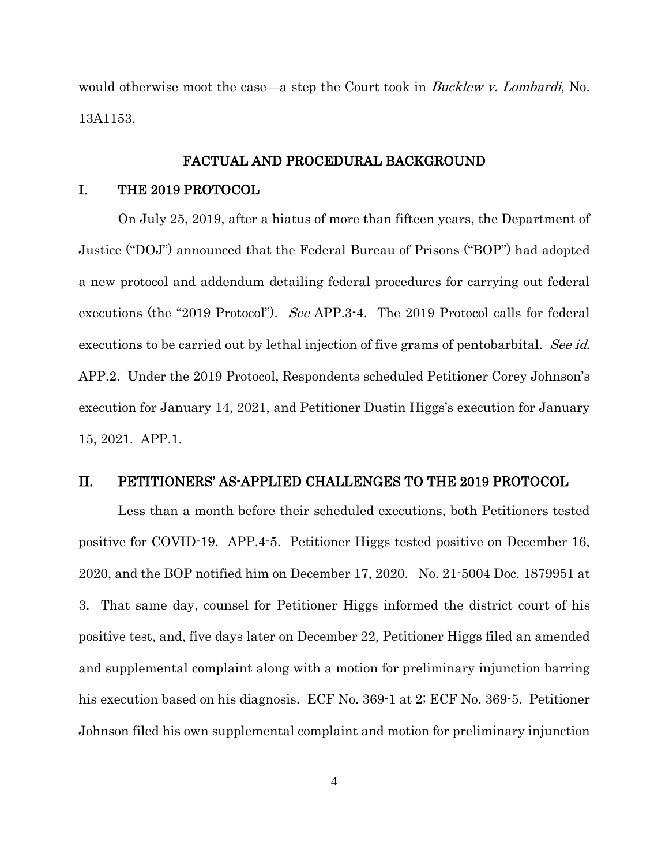would otherwise moot the case—a step the Court took in *Bucklew v. Lombardi*, No. 13A1153.

#### FACTUAL AND PROCEDURAL BACKGROUND

#### <span id="page-6-1"></span><span id="page-6-0"></span>I. THE 2019 PROTOCOL

On July 25, 2019, after a hiatus of more than fifteen years, the Department of Justice ("DOJ") announced that the Federal Bureau of Prisons ("BOP") had adopted a new protocol and addendum detailing federal procedures for carrying out federal executions (the "2019 Protocol"). See APP.3-4. The 2019 Protocol calls for federal executions to be carried out by lethal injection of five grams of pentobarbital. See id. APP.2. Under the 2019 Protocol, Respondents scheduled Petitioner Corey Johnson's execution for January 14, 2021, and Petitioner Dustin Higgs's execution for January 15, 2021. APP.1.

## <span id="page-6-2"></span>II. PETITIONERS' AS-APPLIED CHALLENGES TO THE 2019 PROTOCOL

Less than a month before their scheduled executions, both Petitioners tested positive for COVID-19. APP.4-5. Petitioner Higgs tested positive on December 16, 2020, and the BOP notified him on December 17, 2020. No. 21-5004 Doc. 1879951 at 3. That same day, counsel for Petitioner Higgs informed the district court of his positive test, and, five days later on December 22, Petitioner Higgs filed an amended and supplemental complaint along with a motion for preliminary injunction barring his execution based on his diagnosis. ECF No. 369-1 at 2; ECF No. 369-5. Petitioner Johnson filed his own supplemental complaint and motion for preliminary injunction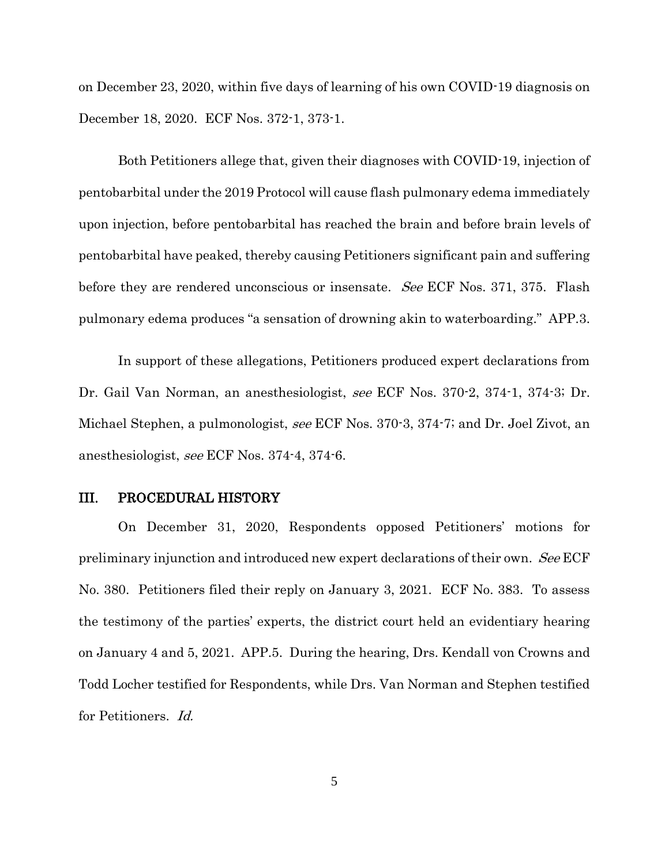on December 23, 2020, within five days of learning of his own COVID-19 diagnosis on December 18, 2020. ECF Nos. 372-1, 373-1.

Both Petitioners allege that, given their diagnoses with COVID-19, injection of pentobarbital under the 2019 Protocol will cause flash pulmonary edema immediately upon injection, before pentobarbital has reached the brain and before brain levels of pentobarbital have peaked, thereby causing Petitioners significant pain and suffering before they are rendered unconscious or insensate. See ECF Nos. 371, 375. Flash pulmonary edema produces "a sensation of drowning akin to waterboarding." APP.3.

In support of these allegations, Petitioners produced expert declarations from Dr. Gail Van Norman, an anesthesiologist, see ECF Nos. 370-2, 374-1, 374-3; Dr. Michael Stephen, a pulmonologist, see ECF Nos. 370-3, 374-7; and Dr. Joel Zivot, an anesthesiologist, see ECF Nos. 374-4, 374-6.

#### <span id="page-7-0"></span>III. PROCEDURAL HISTORY

On December 31, 2020, Respondents opposed Petitioners' motions for preliminary injunction and introduced new expert declarations of their own. See ECF No. 380. Petitioners filed their reply on January 3, 2021. ECF No. 383. To assess the testimony of the parties' experts, the district court held an evidentiary hearing on January 4 and 5, 2021. APP.5. During the hearing, Drs. Kendall von Crowns and Todd Locher testified for Respondents, while Drs. Van Norman and Stephen testified for Petitioners. Id.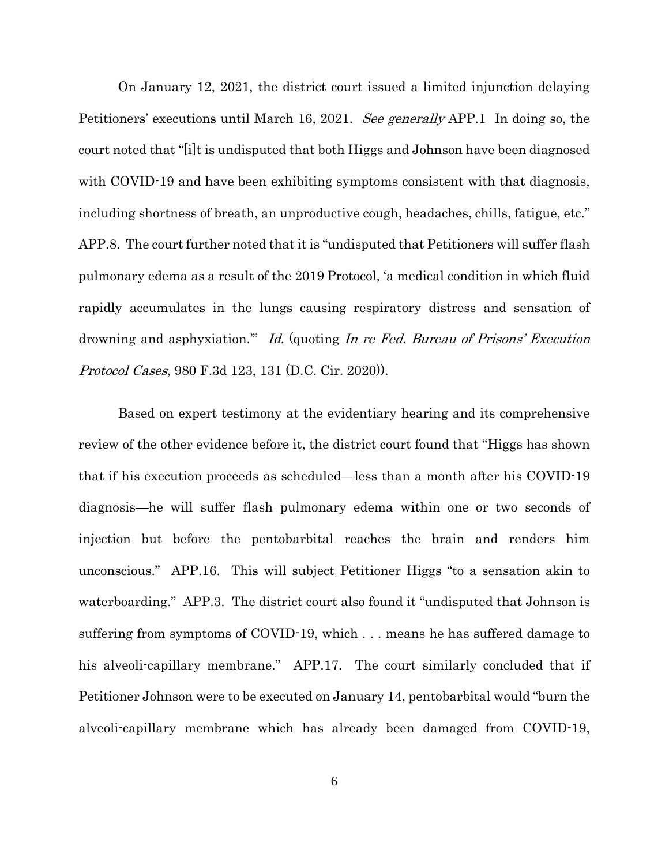On January 12, 2021, the district court issued a limited injunction delaying Petitioners' executions until March 16, 2021. See generally APP.1 In doing so, the court noted that "[i]t is undisputed that both Higgs and Johnson have been diagnosed with COVID-19 and have been exhibiting symptoms consistent with that diagnosis, including shortness of breath, an unproductive cough, headaches, chills, fatigue, etc." APP.8. The court further noted that it is "undisputed that Petitioners will suffer flash pulmonary edema as a result of the 2019 Protocol, 'a medical condition in which fluid rapidly accumulates in the lungs causing respiratory distress and sensation of drowning and asphyxiation." Id. (quoting In re Fed. Bureau of Prisons' Execution Protocol Cases, 980 F.3d 123, 131 (D.C. Cir. 2020)).

Based on expert testimony at the evidentiary hearing and its comprehensive review of the other evidence before it, the district court found that "Higgs has shown that if his execution proceeds as scheduled—less than a month after his COVID-19 diagnosis—he will suffer flash pulmonary edema within one or two seconds of injection but before the pentobarbital reaches the brain and renders him unconscious." APP.16. This will subject Petitioner Higgs "to a sensation akin to waterboarding." APP.3. The district court also found it "undisputed that Johnson is suffering from symptoms of COVID-19, which . . . means he has suffered damage to his alveoli-capillary membrane." APP.17. The court similarly concluded that if Petitioner Johnson were to be executed on January 14, pentobarbital would "burn the alveoli-capillary membrane which has already been damaged from COVID-19,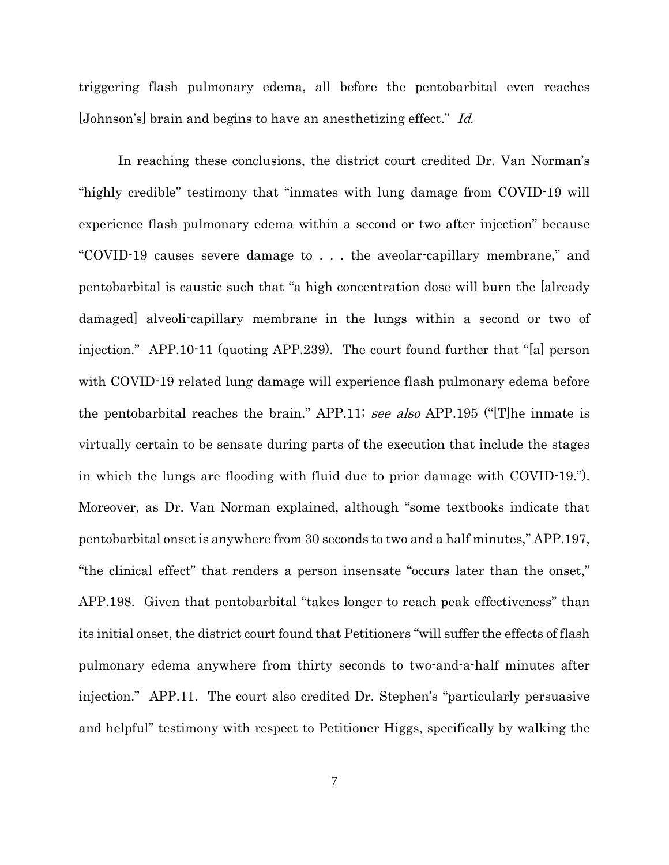triggering flash pulmonary edema, all before the pentobarbital even reaches [Johnson's] brain and begins to have an anesthetizing effect." Id.

In reaching these conclusions, the district court credited Dr. Van Norman's "highly credible" testimony that "inmates with lung damage from COVID-19 will experience flash pulmonary edema within a second or two after injection" because "COVID-19 causes severe damage to . . . the aveolar-capillary membrane," and pentobarbital is caustic such that "a high concentration dose will burn the [already damaged] alveoli-capillary membrane in the lungs within a second or two of injection." APP.10-11 (quoting APP.239). The court found further that "[a] person with COVID-19 related lung damage will experience flash pulmonary edema before the pentobarbital reaches the brain." APP.11; see also APP.195 ("The inmate is virtually certain to be sensate during parts of the execution that include the stages in which the lungs are flooding with fluid due to prior damage with COVID-19."). Moreover, as Dr. Van Norman explained, although "some textbooks indicate that pentobarbital onset is anywhere from 30 seconds to two and a half minutes," APP.197, "the clinical effect" that renders a person insensate "occurs later than the onset," APP.198. Given that pentobarbital "takes longer to reach peak effectiveness" than its initial onset, the district court found that Petitioners "will suffer the effects of flash pulmonary edema anywhere from thirty seconds to two-and-a-half minutes after injection." APP.11. The court also credited Dr. Stephen's "particularly persuasive and helpful" testimony with respect to Petitioner Higgs, specifically by walking the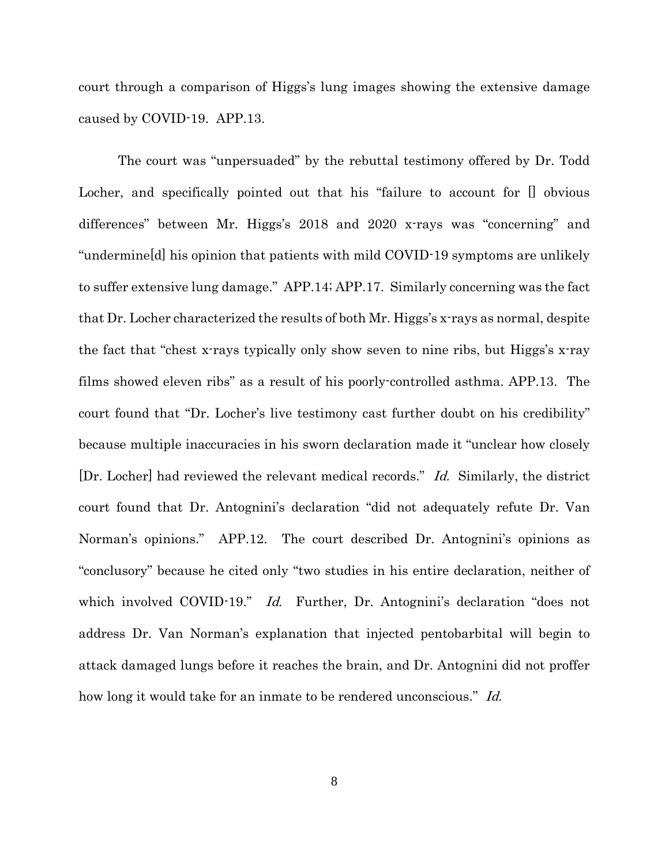court through a comparison of Higgs's lung images showing the extensive damage caused by COVID-19. APP.13.

The court was "unpersuaded" by the rebuttal testimony offered by Dr. Todd Locher, and specifically pointed out that his "failure to account for  $\Box$  obvious differences" between Mr. Higgs's 2018 and 2020 x-rays was "concerning" and "undermine[d] his opinion that patients with mild COVID-19 symptoms are unlikely to suffer extensive lung damage." APP.14; APP.17. Similarly concerning was the fact that Dr. Locher characterized the results of both Mr. Higgs's x-rays as normal, despite the fact that "chest x-rays typically only show seven to nine ribs, but Higgs's x-ray films showed eleven ribs" as a result of his poorly-controlled asthma. APP.13. The court found that "Dr. Locher's live testimony cast further doubt on his credibility" because multiple inaccuracies in his sworn declaration made it "unclear how closely [Dr. Locher] had reviewed the relevant medical records." Id. Similarly, the district court found that Dr. Antognini's declaration "did not adequately refute Dr. Van Norman's opinions." APP.12. The court described Dr. Antognini's opinions as "conclusory" because he cited only "two studies in his entire declaration, neither of which involved COVID-19." *Id.* Further, Dr. Antognini's declaration "does not address Dr. Van Norman's explanation that injected pentobarbital will begin to attack damaged lungs before it reaches the brain, and Dr. Antognini did not proffer how long it would take for an inmate to be rendered unconscious." Id.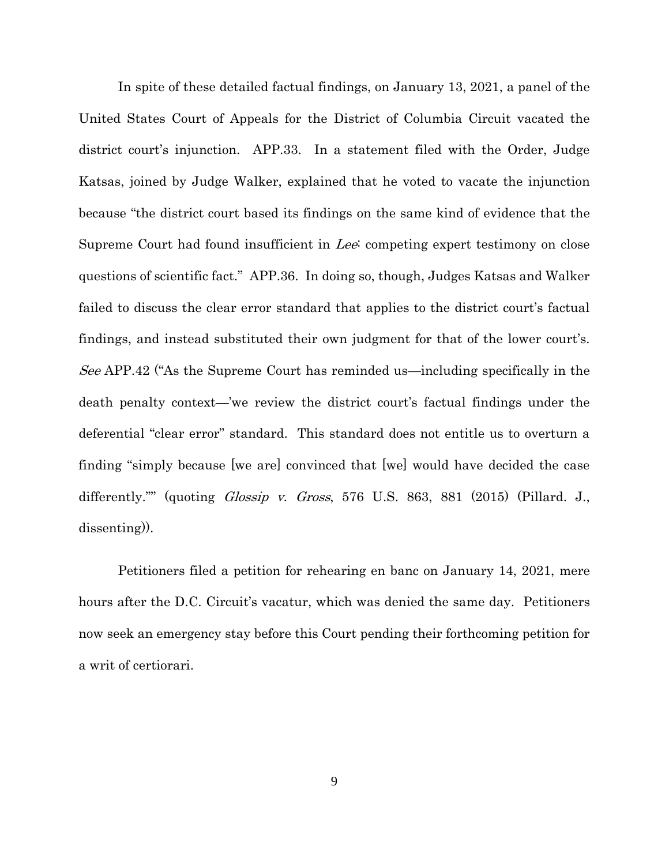In spite of these detailed factual findings, on January 13, 2021, a panel of the United States Court of Appeals for the District of Columbia Circuit vacated the district court's injunction. APP.33. In a statement filed with the Order, Judge Katsas, joined by Judge Walker, explained that he voted to vacate the injunction because "the district court based its findings on the same kind of evidence that the Supreme Court had found insufficient in Lee: competing expert testimony on close questions of scientific fact." APP.36. In doing so, though, Judges Katsas and Walker failed to discuss the clear error standard that applies to the district court's factual findings, and instead substituted their own judgment for that of the lower court's. See APP.42 ("As the Supreme Court has reminded us—including specifically in the death penalty context—'we review the district court's factual findings under the deferential "clear error" standard. This standard does not entitle us to overturn a finding "simply because [we are] convinced that [we] would have decided the case differently."" (quoting *Glossip v. Gross*, 576 U.S. 863, 881 (2015) (Pillard. J., dissenting)).

<span id="page-11-0"></span>Petitioners filed a petition for rehearing en banc on January 14, 2021, mere hours after the D.C. Circuit's vacatur, which was denied the same day. Petitioners now seek an emergency stay before this Court pending their forthcoming petition for a writ of certiorari.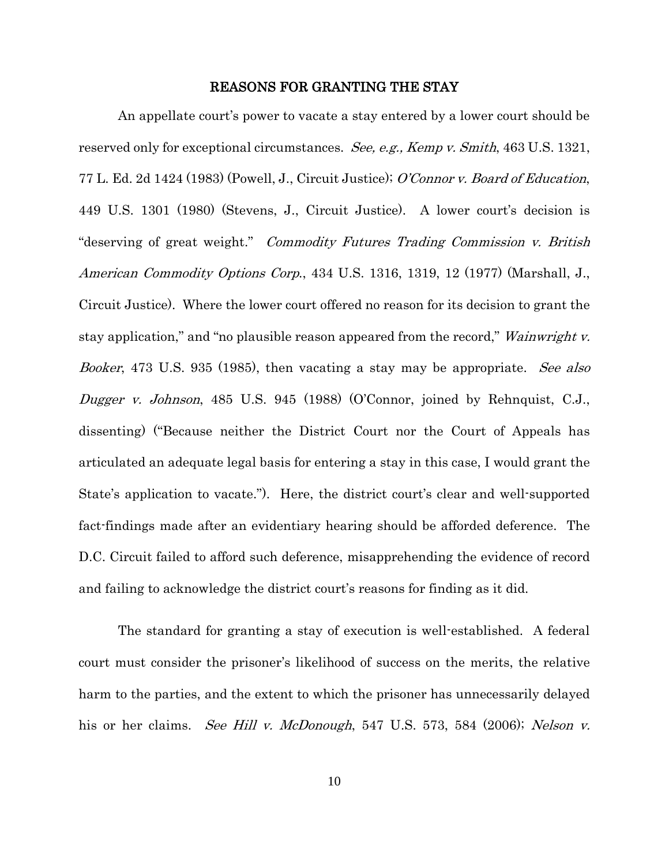#### <span id="page-12-7"></span><span id="page-12-6"></span><span id="page-12-4"></span><span id="page-12-2"></span><span id="page-12-1"></span>REASONS FOR GRANTING THE STAY

<span id="page-12-0"></span>An appellate court's power to vacate a stay entered by a lower court should be reserved only for exceptional circumstances. See, e.g., Kemp v. Smith, 463 U.S. 1321, 77 L. Ed. 2d 1424 (1983) (Powell, J., Circuit Justice); O'Connor v. Board of Education, 449 U.S. 1301 (1980) (Stevens, J., Circuit Justice). A lower court's decision is "deserving of great weight." Commodity Futures Trading Commission v. British American Commodity Options Corp., 434 U.S. 1316, 1319, 12 (1977) (Marshall, J., Circuit Justice). Where the lower court offered no reason for its decision to grant the stay application," and "no plausible reason appeared from the record," *Wainwright v.* Booker, 473 U.S. 935 (1985), then vacating a stay may be appropriate. See also Dugger v. Johnson, 485 U.S. 945 (1988) (O'Connor, joined by Rehnquist, C.J., dissenting) ("Because neither the District Court nor the Court of Appeals has articulated an adequate legal basis for entering a stay in this case, I would grant the State's application to vacate."). Here, the district court's clear and well-supported fact-findings made after an evidentiary hearing should be afforded deference. The D.C. Circuit failed to afford such deference, misapprehending the evidence of record and failing to acknowledge the district court's reasons for finding as it did.

<span id="page-12-5"></span><span id="page-12-3"></span>The standard for granting a stay of execution is well-established. A federal court must consider the prisoner's likelihood of success on the merits, the relative harm to the parties, and the extent to which the prisoner has unnecessarily delayed his or her claims. *See Hill v. McDonough*, 547 U.S. 573, 584 (2006); *Nelson v.*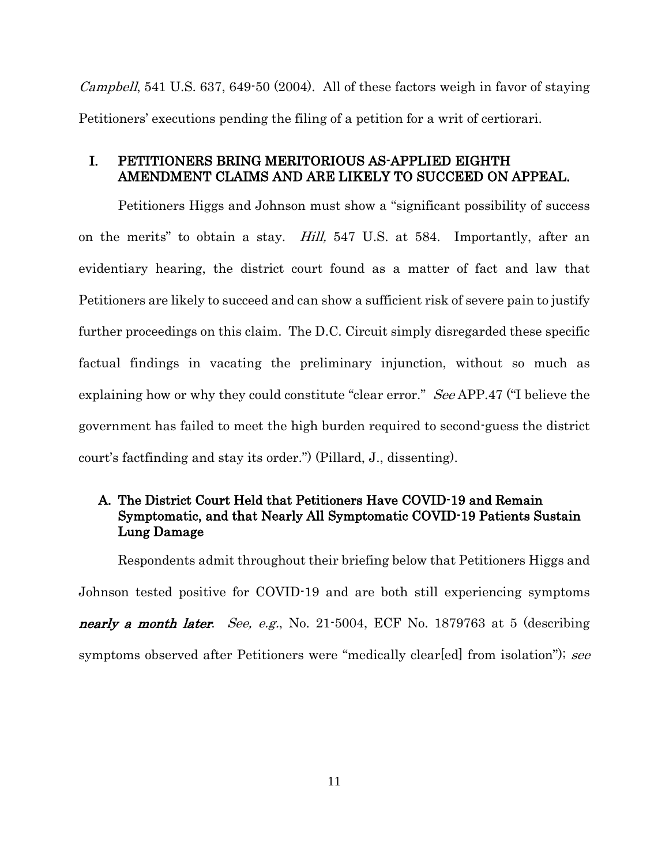*Campbell*, 541 U.S. 637, 649-50 (2004). All of these factors weigh in favor of staying Petitioners' executions pending the filing of a petition for a writ of certiorari.

## <span id="page-13-0"></span>I. PETITIONERS BRING MERITORIOUS AS-APPLIED EIGHTH AMENDMENT CLAIMS AND ARE LIKELY TO SUCCEED ON APPEAL.

<span id="page-13-2"></span>Petitioners Higgs and Johnson must show a "significant possibility of success on the merits" to obtain a stay. Hill, 547 U.S. at 584. Importantly, after an evidentiary hearing, the district court found as a matter of fact and law that Petitioners are likely to succeed and can show a sufficient risk of severe pain to justify further proceedings on this claim. The D.C. Circuit simply disregarded these specific factual findings in vacating the preliminary injunction, without so much as explaining how or why they could constitute "clear error." See APP.47 ("I believe the government has failed to meet the high burden required to second-guess the district court's factfinding and stay its order.") (Pillard, J., dissenting).

## <span id="page-13-1"></span>A. The District Court Held that Petitioners Have COVID-19 and Remain Symptomatic, and that Nearly All Symptomatic COVID-19 Patients Sustain Lung Damage

Respondents admit throughout their briefing below that Petitioners Higgs and Johnson tested positive for COVID-19 and are both still experiencing symptoms nearly a month later. See, e.g., No. 21-5004, ECF No. 1879763 at 5 (describing symptoms observed after Petitioners were "medically clear[ed] from isolation"); see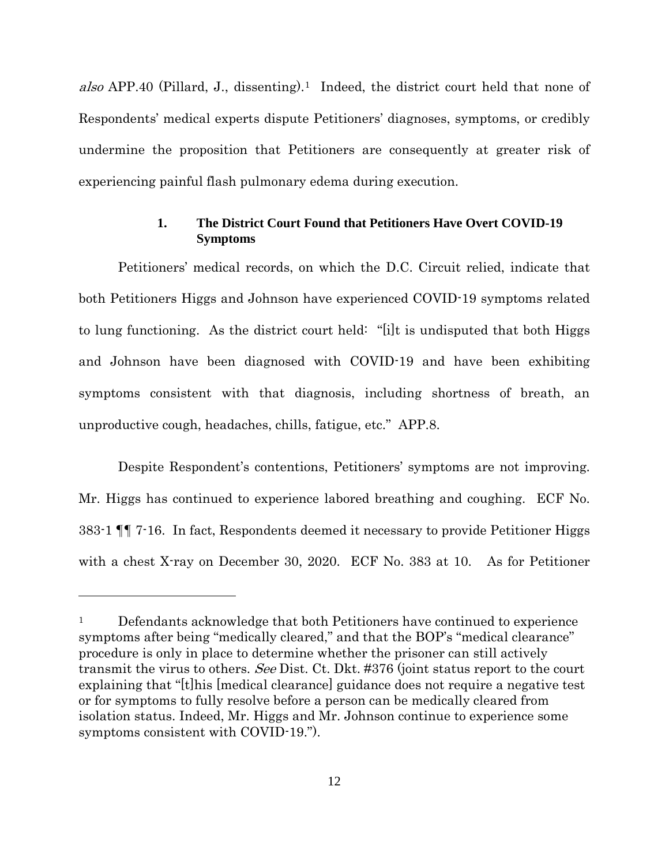also APP.40 (Pillard, J., dissenting).<sup>[1](#page-14-1)</sup> Indeed, the district court held that none of Respondents' medical experts dispute Petitioners' diagnoses, symptoms, or credibly undermine the proposition that Petitioners are consequently at greater risk of experiencing painful flash pulmonary edema during execution.

## **1. The District Court Found that Petitioners Have Overt COVID-19 Symptoms**

<span id="page-14-0"></span>Petitioners' medical records, on which the D.C. Circuit relied, indicate that both Petitioners Higgs and Johnson have experienced COVID-19 symptoms related to lung functioning. As the district court held: "[i]t is undisputed that both Higgs and Johnson have been diagnosed with COVID-19 and have been exhibiting symptoms consistent with that diagnosis, including shortness of breath, an unproductive cough, headaches, chills, fatigue, etc." APP.8.

Despite Respondent's contentions, Petitioners' symptoms are not improving. Mr. Higgs has continued to experience labored breathing and coughing. ECF No. 383-1 ¶¶ 7-16. In fact, Respondents deemed it necessary to provide Petitioner Higgs with a chest X-ray on December 30, 2020. ECF No. 383 at 10. As for Petitioner

 $\overline{a}$ 

<span id="page-14-1"></span><sup>&</sup>lt;sup>1</sup> Defendants acknowledge that both Petitioners have continued to experience symptoms after being "medically cleared," and that the BOP's "medical clearance" procedure is only in place to determine whether the prisoner can still actively transmit the virus to others. See Dist. Ct. Dkt. #376 (joint status report to the court explaining that "[t]his [medical clearance] guidance does not require a negative test or for symptoms to fully resolve before a person can be medically cleared from isolation status. Indeed, Mr. Higgs and Mr. Johnson continue to experience some symptoms consistent with COVID-19.").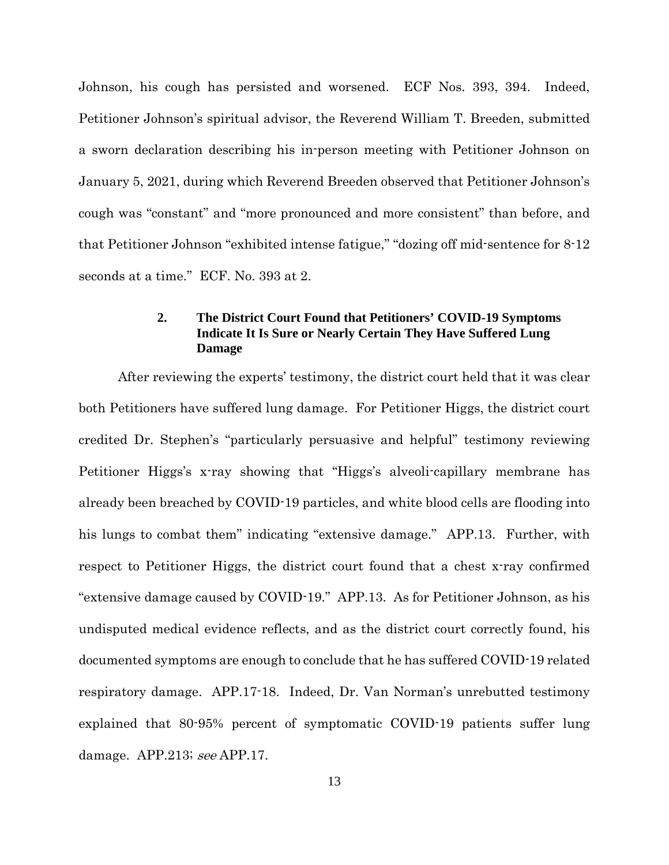Johnson, his cough has persisted and worsened. ECF Nos. 393, 394. Indeed, Petitioner Johnson's spiritual advisor, the Reverend William T. Breeden, submitted a sworn declaration describing his in-person meeting with Petitioner Johnson on January 5, 2021, during which Reverend Breeden observed that Petitioner Johnson's cough was "constant" and "more pronounced and more consistent" than before, and that Petitioner Johnson "exhibited intense fatigue," "dozing off mid-sentence for 8-12 seconds at a time." ECF. No. 393 at 2.

## **2. The District Court Found that Petitioners' COVID-19 Symptoms Indicate It Is Sure or Nearly Certain They Have Suffered Lung Damage**

<span id="page-15-0"></span>After reviewing the experts' testimony, the district court held that it was clear both Petitioners have suffered lung damage. For Petitioner Higgs, the district court credited Dr. Stephen's "particularly persuasive and helpful" testimony reviewing Petitioner Higgs's x-ray showing that "Higgs's alveoli-capillary membrane has already been breached by COVID-19 particles, and white blood cells are flooding into his lungs to combat them" indicating "extensive damage." APP.13. Further, with respect to Petitioner Higgs, the district court found that a chest x-ray confirmed "extensive damage caused by COVID-19." APP.13. As for Petitioner Johnson, as his undisputed medical evidence reflects, and as the district court correctly found, his documented symptoms are enough to conclude that he has suffered COVID-19 related respiratory damage. APP.17-18. Indeed, Dr. Van Norman's unrebutted testimony explained that 80-95% percent of symptomatic COVID-19 patients suffer lung damage. APP.213; see APP.17.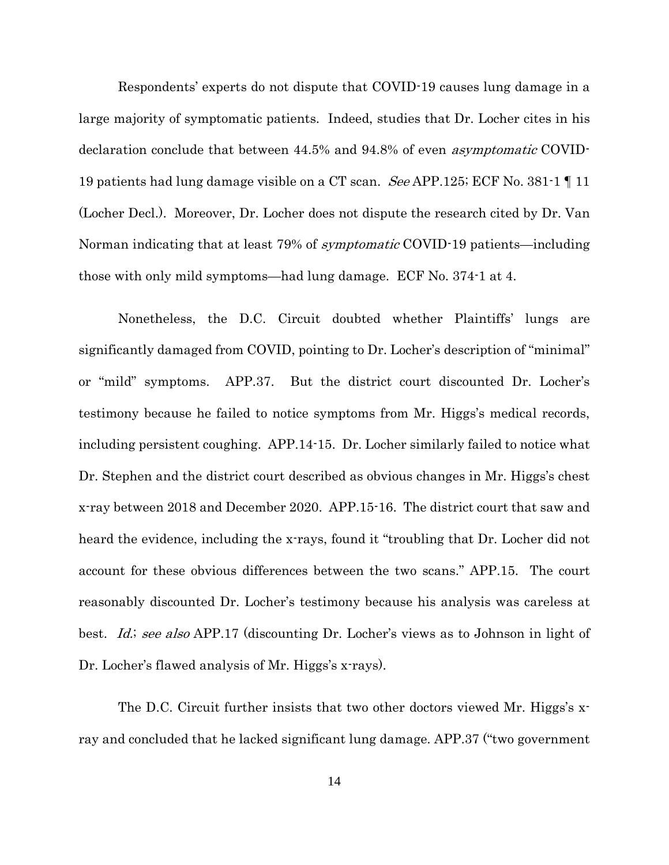Respondents' experts do not dispute that COVID-19 causes lung damage in a large majority of symptomatic patients. Indeed, studies that Dr. Locher cites in his declaration conclude that between 44.5% and 94.8% of even asymptomatic COVID-19 patients had lung damage visible on a CT scan. *See* APP.125; ECF No. 381-1  $\P$  11 (Locher Decl.). Moreover, Dr. Locher does not dispute the research cited by Dr. Van Norman indicating that at least 79% of *symptomatic* COVID-19 patients—including those with only mild symptoms—had lung damage. ECF No. 374-1 at 4.

Nonetheless, the D.C. Circuit doubted whether Plaintiffs' lungs are significantly damaged from COVID, pointing to Dr. Locher's description of "minimal" or "mild" symptoms. APP.37. But the district court discounted Dr. Locher's testimony because he failed to notice symptoms from Mr. Higgs's medical records, including persistent coughing. APP.14-15. Dr. Locher similarly failed to notice what Dr. Stephen and the district court described as obvious changes in Mr. Higgs's chest x-ray between 2018 and December 2020. APP.15-16. The district court that saw and heard the evidence, including the x-rays, found it "troubling that Dr. Locher did not account for these obvious differences between the two scans." APP.15. The court reasonably discounted Dr. Locher's testimony because his analysis was careless at best. *Id.; see also* APP.17 (discounting Dr. Locher's views as to Johnson in light of Dr. Locher's flawed analysis of Mr. Higgs's x-rays).

<span id="page-16-0"></span>The D.C. Circuit further insists that two other doctors viewed Mr. Higgs's xray and concluded that he lacked significant lung damage. APP.37 ("two government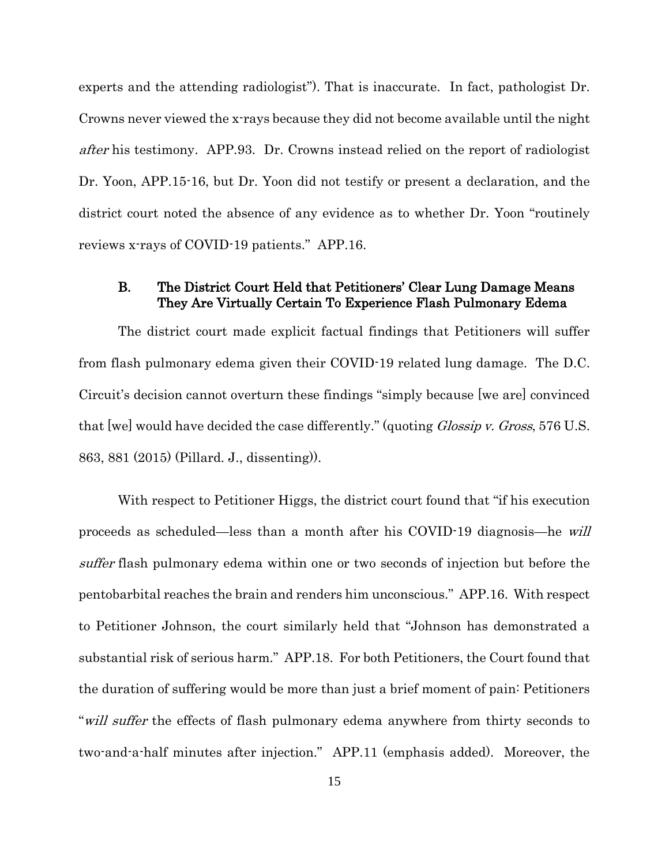experts and the attending radiologist"). That is inaccurate. In fact, pathologist Dr. Crowns never viewed the x-rays because they did not become available until the night after his testimony. APP.93. Dr. Crowns instead relied on the report of radiologist Dr. Yoon, APP.15-16, but Dr. Yoon did not testify or present a declaration, and the district court noted the absence of any evidence as to whether Dr. Yoon "routinely reviews x-rays of COVID-19 patients." APP.16.

## <span id="page-17-1"></span><span id="page-17-0"></span>B. The District Court Held that Petitioners' Clear Lung Damage Means They Are Virtually Certain To Experience Flash Pulmonary Edema

The district court made explicit factual findings that Petitioners will suffer from flash pulmonary edema given their COVID-19 related lung damage. The D.C. Circuit's decision cannot overturn these findings "simply because [we are] convinced that [we] would have decided the case differently." (quoting *Glossip v. Gross*, 576 U.S. 863, 881 (2015) (Pillard. J., dissenting)).

With respect to Petitioner Higgs, the district court found that "if his execution proceeds as scheduled—less than a month after his COVID-19 diagnosis—he will suffer flash pulmonary edema within one or two seconds of injection but before the pentobarbital reaches the brain and renders him unconscious." APP.16. With respect to Petitioner Johnson, the court similarly held that "Johnson has demonstrated a substantial risk of serious harm." APP.18. For both Petitioners, the Court found that the duration of suffering would be more than just a brief moment of pain: Petitioners "will suffer the effects of flash pulmonary edema anywhere from thirty seconds to two-and-a-half minutes after injection." APP.11 (emphasis added). Moreover, the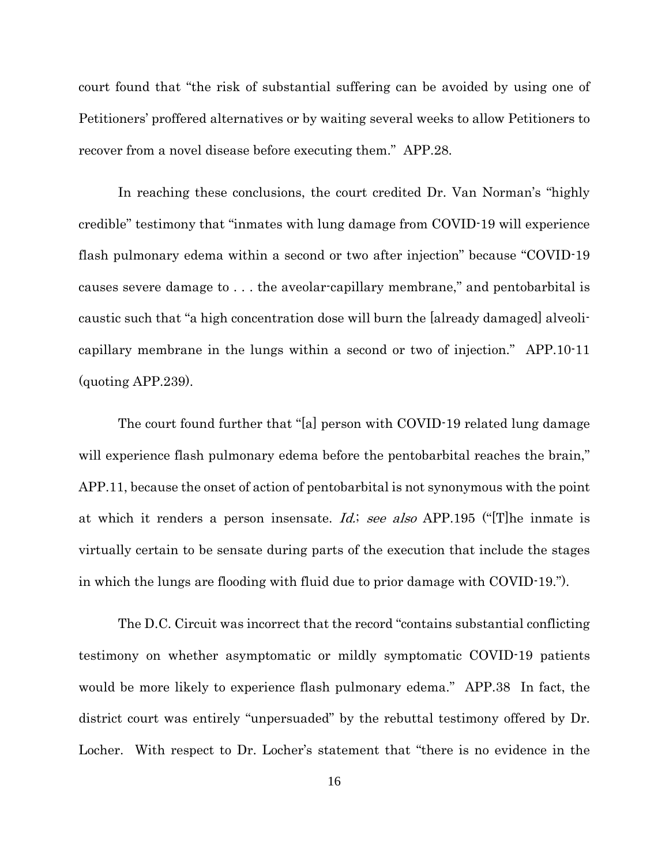court found that "the risk of substantial suffering can be avoided by using one of Petitioners' proffered alternatives or by waiting several weeks to allow Petitioners to recover from a novel disease before executing them." APP.28.

In reaching these conclusions, the court credited Dr. Van Norman's "highly credible" testimony that "inmates with lung damage from COVID-19 will experience flash pulmonary edema within a second or two after injection" because "COVID-19 causes severe damage to . . . the aveolar-capillary membrane," and pentobarbital is caustic such that "a high concentration dose will burn the [already damaged] alveolicapillary membrane in the lungs within a second or two of injection." APP.10-11 (quoting APP.239).

<span id="page-18-0"></span>The court found further that "[a] person with COVID-19 related lung damage will experience flash pulmonary edema before the pentobarbital reaches the brain," APP.11, because the onset of action of pentobarbital is not synonymous with the point at which it renders a person insensate. Id.; see also APP.195 ("The inmate is virtually certain to be sensate during parts of the execution that include the stages in which the lungs are flooding with fluid due to prior damage with COVID-19.").

The D.C. Circuit was incorrect that the record "contains substantial conflicting testimony on whether asymptomatic or mildly symptomatic COVID-19 patients would be more likely to experience flash pulmonary edema." APP.38 In fact, the district court was entirely "unpersuaded" by the rebuttal testimony offered by Dr. Locher. With respect to Dr. Locher's statement that "there is no evidence in the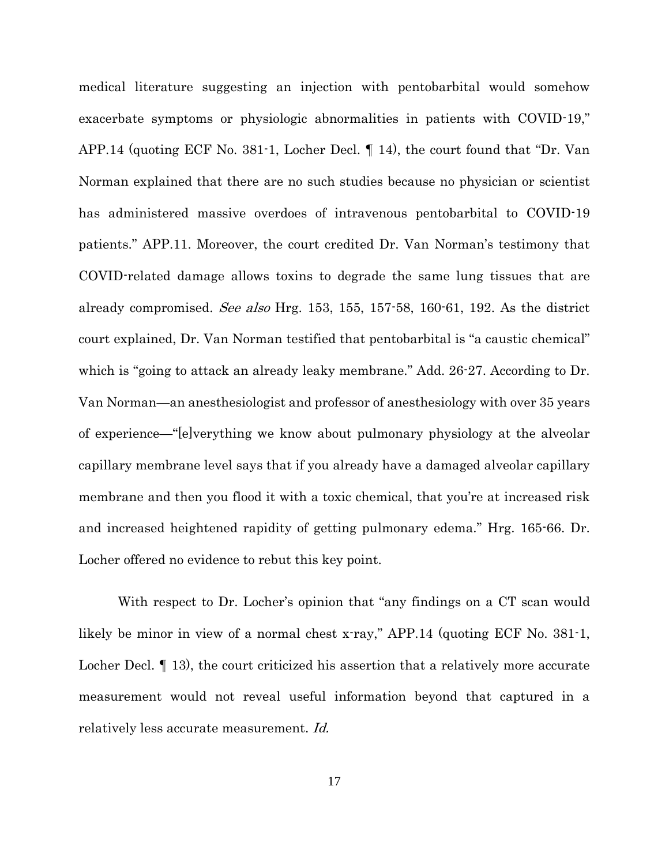medical literature suggesting an injection with pentobarbital would somehow exacerbate symptoms or physiologic abnormalities in patients with COVID-19," APP.14 (quoting ECF No. 381-1, Locher Decl. ¶ 14), the court found that "Dr. Van Norman explained that there are no such studies because no physician or scientist has administered massive overdoes of intravenous pentobarbital to COVID-19 patients." APP.11. Moreover, the court credited Dr. Van Norman's testimony that COVID-related damage allows toxins to degrade the same lung tissues that are already compromised. See also Hrg. 153, 155, 157-58, 160-61, 192. As the district court explained, Dr. Van Norman testified that pentobarbital is "a caustic chemical" which is "going to attack an already leaky membrane." Add. 26-27. According to Dr. Van Norman—an anesthesiologist and professor of anesthesiology with over 35 years of experience—"[e]verything we know about pulmonary physiology at the alveolar capillary membrane level says that if you already have a damaged alveolar capillary membrane and then you flood it with a toxic chemical, that you're at increased risk and increased heightened rapidity of getting pulmonary edema." Hrg. 165-66. Dr. Locher offered no evidence to rebut this key point.

<span id="page-19-0"></span>With respect to Dr. Locher's opinion that "any findings on a CT scan would likely be minor in view of a normal chest x-ray," APP.14 (quoting ECF No. 381-1, Locher Decl.  $\P$  13), the court criticized his assertion that a relatively more accurate measurement would not reveal useful information beyond that captured in a relatively less accurate measurement. Id.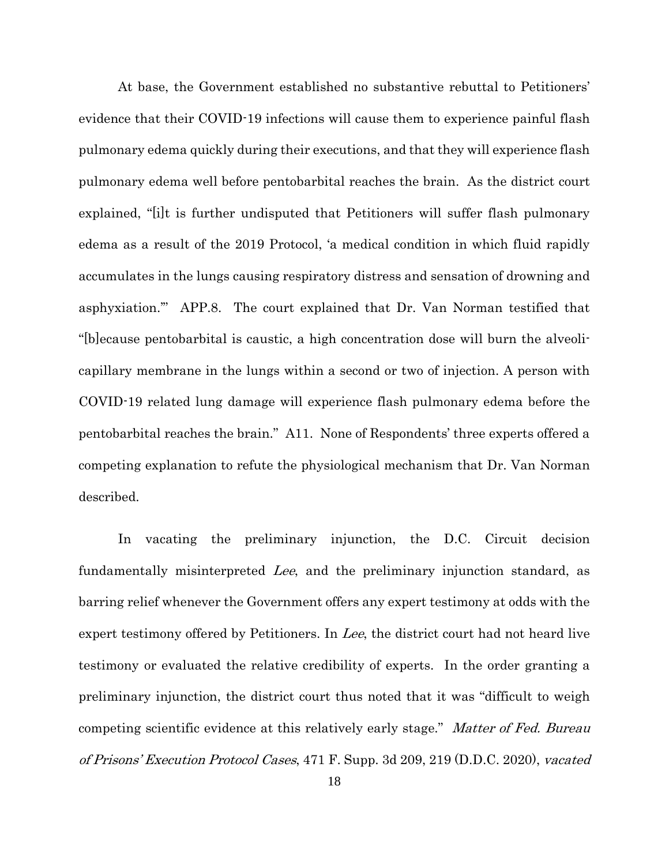At base, the Government established no substantive rebuttal to Petitioners' evidence that their COVID-19 infections will cause them to experience painful flash pulmonary edema quickly during their executions, and that they will experience flash pulmonary edema well before pentobarbital reaches the brain. As the district court explained, "[i]t is further undisputed that Petitioners will suffer flash pulmonary edema as a result of the 2019 Protocol, 'a medical condition in which fluid rapidly accumulates in the lungs causing respiratory distress and sensation of drowning and asphyxiation.'" APP.8. The court explained that Dr. Van Norman testified that "[b]ecause pentobarbital is caustic, a high concentration dose will burn the alveolicapillary membrane in the lungs within a second or two of injection. A person with COVID-19 related lung damage will experience flash pulmonary edema before the pentobarbital reaches the brain." A11. None of Respondents' three experts offered a competing explanation to refute the physiological mechanism that Dr. Van Norman described.

<span id="page-20-0"></span>In vacating the preliminary injunction, the D.C. Circuit decision fundamentally misinterpreted Lee, and the preliminary injunction standard, as barring relief whenever the Government offers any expert testimony at odds with the expert testimony offered by Petitioners. In Lee, the district court had not heard live testimony or evaluated the relative credibility of experts. In the order granting a preliminary injunction, the district court thus noted that it was "difficult to weigh competing scientific evidence at this relatively early stage." Matter of Fed. Bureau of Prisons' Execution Protocol Cases, 471 F. Supp. 3d 209, 219 (D.D.C. 2020), vacated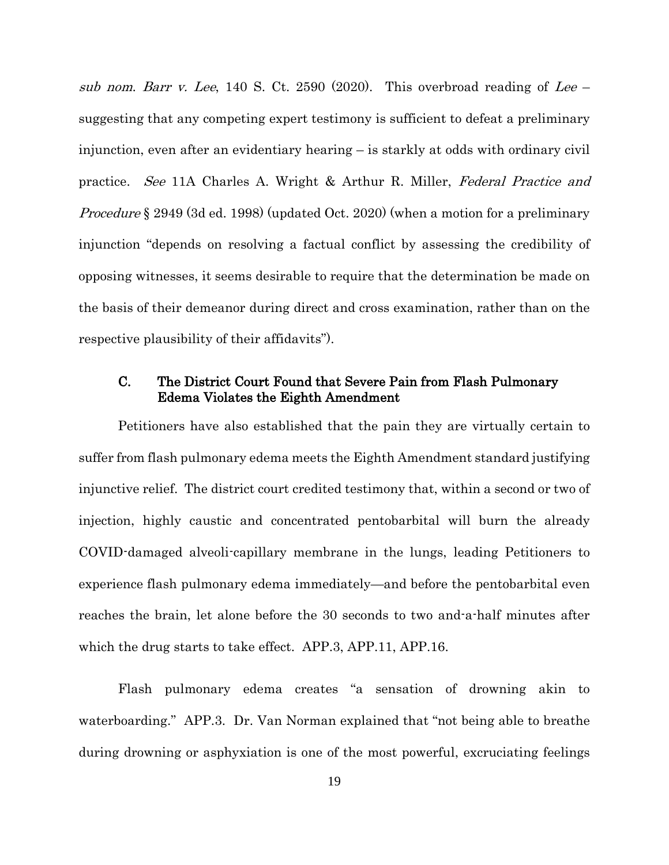<span id="page-21-1"></span>sub nom. Barr v. Lee, 140 S. Ct. 2590 (2020). This overbroad reading of Lee – suggesting that any competing expert testimony is sufficient to defeat a preliminary injunction, even after an evidentiary hearing – is starkly at odds with ordinary civil practice. See 11A Charles A. Wright & Arthur R. Miller, Federal Practice and Procedure § 2949 (3d ed. 1998) (updated Oct. 2020) (when a motion for a preliminary injunction "depends on resolving a factual conflict by assessing the credibility of opposing witnesses, it seems desirable to require that the determination be made on the basis of their demeanor during direct and cross examination, rather than on the respective plausibility of their affidavits").

## <span id="page-21-0"></span>C. The District Court Found that Severe Pain from Flash Pulmonary Edema Violates the Eighth Amendment

Petitioners have also established that the pain they are virtually certain to suffer from flash pulmonary edema meets the Eighth Amendment standard justifying injunctive relief. The district court credited testimony that, within a second or two of injection, highly caustic and concentrated pentobarbital will burn the already COVID-damaged alveoli-capillary membrane in the lungs, leading Petitioners to experience flash pulmonary edema immediately—and before the pentobarbital even reaches the brain, let alone before the 30 seconds to two and-a-half minutes after which the drug starts to take effect. APP.3, APP.11, APP.16.

Flash pulmonary edema creates "a sensation of drowning akin to waterboarding." APP.3. Dr. Van Norman explained that "not being able to breathe during drowning or asphyxiation is one of the most powerful, excruciating feelings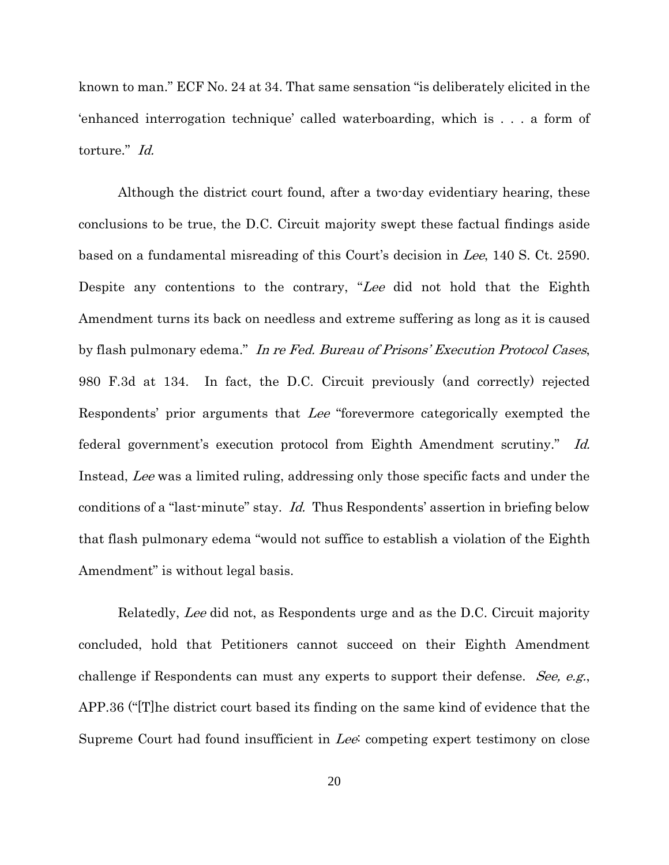known to man." ECF No. 24 at 34. That same sensation "is deliberately elicited in the 'enhanced interrogation technique' called waterboarding, which is . . . a form of torture." Id.

<span id="page-22-1"></span><span id="page-22-0"></span>Although the district court found, after a two-day evidentiary hearing, these conclusions to be true, the D.C. Circuit majority swept these factual findings aside based on a fundamental misreading of this Court's decision in Lee, 140 S. Ct. 2590. Despite any contentions to the contrary, "Lee did not hold that the Eighth Amendment turns its back on needless and extreme suffering as long as it is caused by flash pulmonary edema." In re Fed. Bureau of Prisons' Execution Protocol Cases, 980 F.3d at 134. In fact, the D.C. Circuit previously (and correctly) rejected Respondents' prior arguments that Lee "forevermore categorically exempted the federal government's execution protocol from Eighth Amendment scrutiny." Id. Instead, Lee was a limited ruling, addressing only those specific facts and under the conditions of a "last-minute" stay. *Id.* Thus Respondents' assertion in briefing below that flash pulmonary edema "would not suffice to establish a violation of the Eighth Amendment" is without legal basis.

Relatedly, Lee did not, as Respondents urge and as the D.C. Circuit majority concluded, hold that Petitioners cannot succeed on their Eighth Amendment challenge if Respondents can must any experts to support their defense. See, e.g., APP.36 ("[T]he district court based its finding on the same kind of evidence that the Supreme Court had found insufficient in Lee: competing expert testimony on close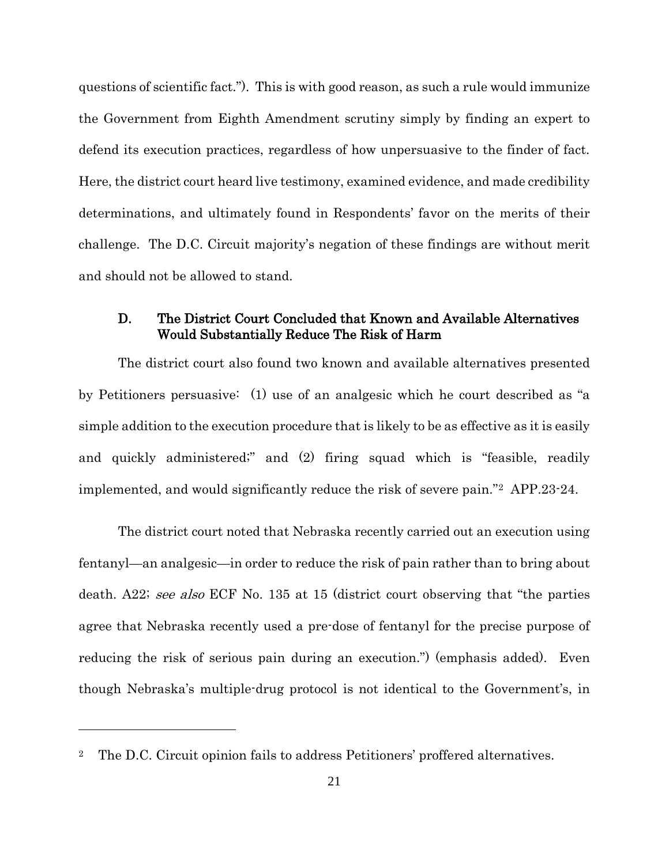questions of scientific fact."). This is with good reason, as such a rule would immunize the Government from Eighth Amendment scrutiny simply by finding an expert to defend its execution practices, regardless of how unpersuasive to the finder of fact. Here, the district court heard live testimony, examined evidence, and made credibility determinations, and ultimately found in Respondents' favor on the merits of their challenge. The D.C. Circuit majority's negation of these findings are without merit and should not be allowed to stand.

## <span id="page-23-0"></span>D. The District Court Concluded that Known and Available Alternatives Would Substantially Reduce The Risk of Harm

The district court also found two known and available alternatives presented by Petitioners persuasive: (1) use of an analgesic which he court described as "a simple addition to the execution procedure that is likely to be as effective as it is easily and quickly administered;" and (2) firing squad which is "feasible, readily implemented, and would significantly reduce the risk of severe pain."[2](#page-23-1) APP.23-24.

The district court noted that Nebraska recently carried out an execution using fentanyl—an analgesic—in order to reduce the risk of pain rather than to bring about death. A22; see also ECF No. 135 at 15 (district court observing that "the parties" agree that Nebraska recently used a pre-dose of fentanyl for the precise purpose of reducing the risk of serious pain during an execution.") (emphasis added). Even though Nebraska's multiple-drug protocol is not identical to the Government's, in

 $\overline{a}$ 

<span id="page-23-1"></span><sup>2</sup> The D.C. Circuit opinion fails to address Petitioners' proffered alternatives.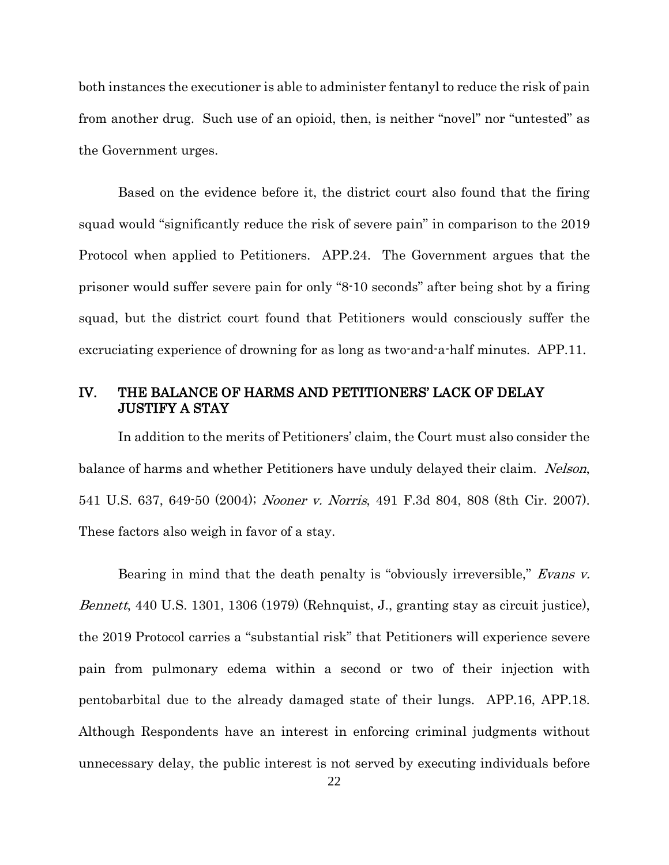both instances the executioner is able to administer fentanyl to reduce the risk of pain from another drug. Such use of an opioid, then, is neither "novel" nor "untested" as the Government urges.

Based on the evidence before it, the district court also found that the firing squad would "significantly reduce the risk of severe pain" in comparison to the 2019 Protocol when applied to Petitioners. APP.24. The Government argues that the prisoner would suffer severe pain for only "8-10 seconds" after being shot by a firing squad, but the district court found that Petitioners would consciously suffer the excruciating experience of drowning for as long as two-and-a-half minutes. APP.11.

## <span id="page-24-0"></span>IV. THE BALANCE OF HARMS AND PETITIONERS' LACK OF DELAY JUSTIFY A STAY

<span id="page-24-3"></span><span id="page-24-2"></span>In addition to the merits of Petitioners' claim, the Court must also consider the balance of harms and whether Petitioners have unduly delayed their claim. Nelson, 541 U.S. 637, 649-50 (2004); Nooner v. Norris, 491 F.3d 804, 808 (8th Cir. 2007). These factors also weigh in favor of a stay.

<span id="page-24-1"></span>Bearing in mind that the death penalty is "obviously irreversible," Evans v. Bennett, 440 U.S. 1301, 1306 (1979) (Rehnquist, J., granting stay as circuit justice), the 2019 Protocol carries a "substantial risk" that Petitioners will experience severe pain from pulmonary edema within a second or two of their injection with pentobarbital due to the already damaged state of their lungs. APP.16, APP.18. Although Respondents have an interest in enforcing criminal judgments without unnecessary delay, the public interest is not served by executing individuals before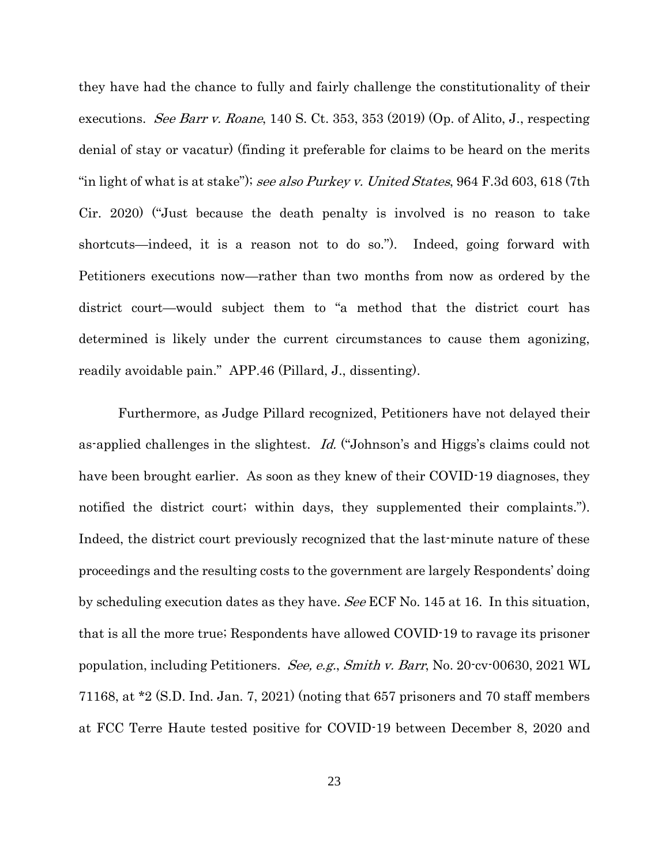<span id="page-25-1"></span><span id="page-25-0"></span>they have had the chance to fully and fairly challenge the constitutionality of their executions. See Barr v. Roane, 140 S. Ct. 353, 353 (2019) (Op. of Alito, J., respecting denial of stay or vacatur) (finding it preferable for claims to be heard on the merits "in light of what is at stake"); see also Purkey v. United States, 964 F.3d 603, 618 (7th Cir. 2020) ("Just because the death penalty is involved is no reason to take shortcuts—indeed, it is a reason not to do so."). Indeed, going forward with Petitioners executions now—rather than two months from now as ordered by the district court—would subject them to "a method that the district court has determined is likely under the current circumstances to cause them agonizing, readily avoidable pain." APP.46 (Pillard, J., dissenting).

<span id="page-25-2"></span>Furthermore, as Judge Pillard recognized, Petitioners have not delayed their as-applied challenges in the slightest. Id. ("Johnson's and Higgs's claims could not have been brought earlier. As soon as they knew of their COVID-19 diagnoses, they notified the district court; within days, they supplemented their complaints."). Indeed, the district court previously recognized that the last-minute nature of these proceedings and the resulting costs to the government are largely Respondents' doing by scheduling execution dates as they have. See ECF No. 145 at 16. In this situation, that is all the more true; Respondents have allowed COVID-19 to ravage its prisoner population, including Petitioners. See, e.g., Smith v. Barr, No. 20-cv-00630, 2021 WL 71168, at \*2 (S.D. Ind. Jan. 7, 2021) (noting that 657 prisoners and 70 staff members at FCC Terre Haute tested positive for COVID-19 between December 8, 2020 and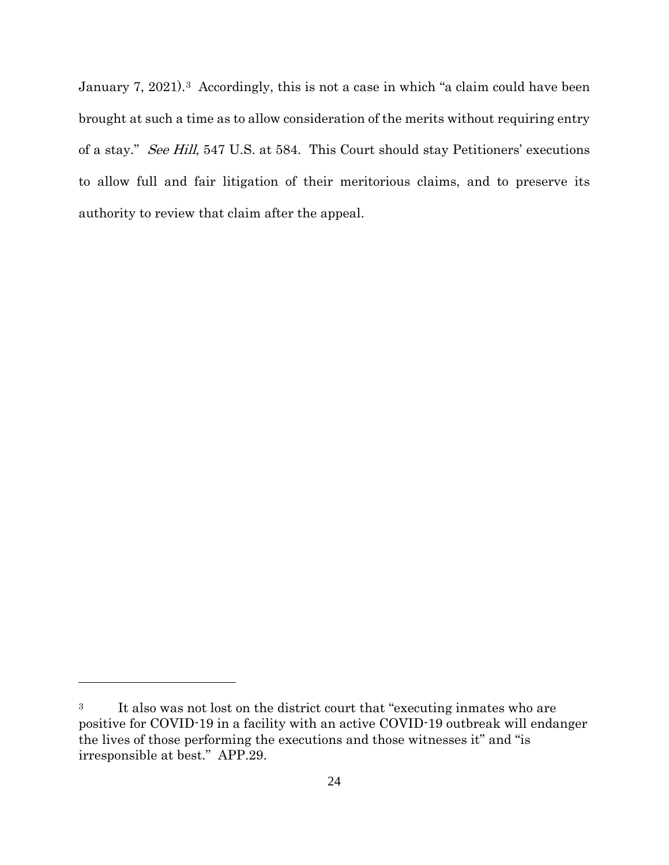<span id="page-26-0"></span>January 7, 2021).<sup>3</sup> Accordingly, this is not a case in which "a claim could have been brought at such a time as to allow consideration of the merits without requiring entry of a stay." See Hill, 547 U.S. at 584. This Court should stay Petitioners' executions to allow full and fair litigation of their meritorious claims, and to preserve its authority to review that claim after the appeal.

 $\overline{a}$ 

<span id="page-26-1"></span><sup>3</sup> It also was not lost on the district court that "executing inmates who are positive for COVID-19 in a facility with an active COVID-19 outbreak will endanger the lives of those performing the executions and those witnesses it" and "is irresponsible at best." APP.29.